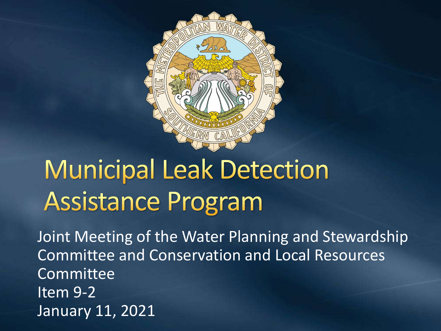

### **Municipal Leak Detection Assistance Program**

Joint Meeting of the Water Planning and Stewardship Committee and Conservation and Local Resources Committee Item 9-2 January 11, 2021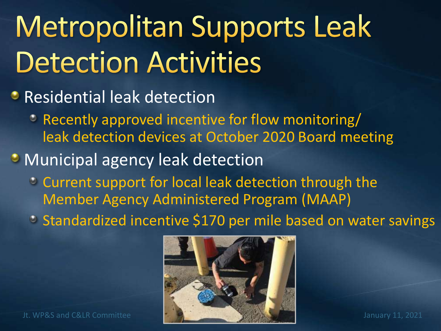# Metropolitan Supports Leak **Detection Activities**

#### **• Residential leak detection**

Recently approved incentive for flow monitoring/ leak detection devices at October 2020 Board meeting

#### **• Municipal agency leak detection**

- Current support for local leak detection through the Member Agency Administered Program (MAAP)
- Standardized incentive \$170 per mile based on water savings

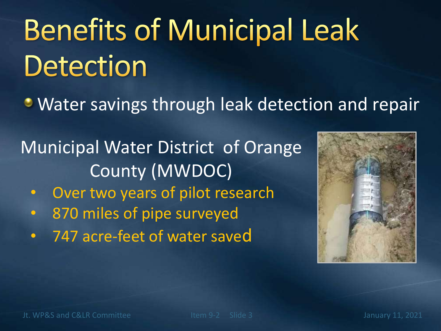# **Benefits of Municipal Leak Detection**

**• Water savings through leak detection and repair** 

Municipal Water District of Orange County (MWDOC)

- Over two years of pilot research
- 870 miles of pipe surveyed
- 747 acre-feet of water saved

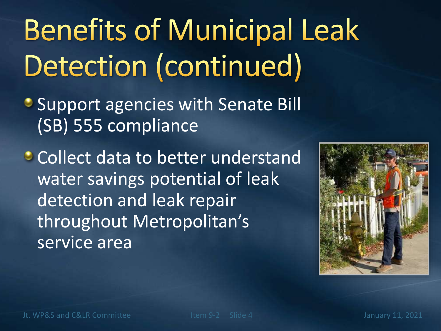# **Benefits of Municipal Leak** Detection (continued)

- **Support agencies with Senate Bill** (SB) 555 compliance
- **Collect data to better understand** water savings potential of leak detection and leak repair throughout Metropolitan's service area

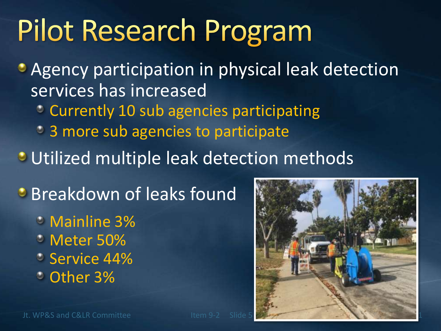### **Pilot Research Program**

**• Agency participation in physical leak detection** services has increased Currently 10 sub agencies participating

- <sup>3</sup> 3 more sub agencies to participate
- **Utilized multiple leak detection methods**

**Breakdown of leaks found** 

- Mainline 3%
- Meter 50%
- Service 44%
- Other 3%

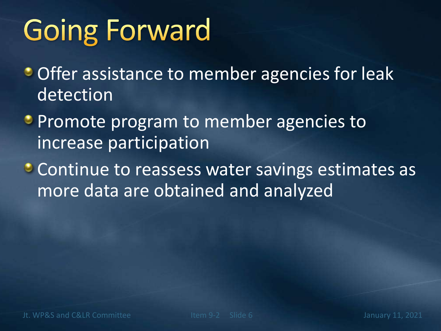## **Going Forward**

- Offer assistance to member agencies for leak detection
- **Promote program to member agencies to** increase participation
- Continue to reassess water savings estimates as more data are obtained and analyzed